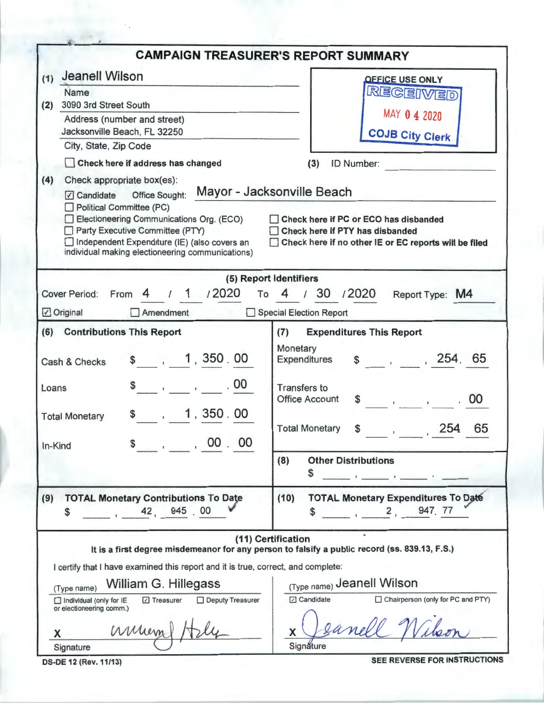|                                                                                                                                                                                                                                                                                            | <b>CAMPAIGN TREASURER'S REPORT SUMMARY</b>                                                                                                                      |  |  |  |  |
|--------------------------------------------------------------------------------------------------------------------------------------------------------------------------------------------------------------------------------------------------------------------------------------------|-----------------------------------------------------------------------------------------------------------------------------------------------------------------|--|--|--|--|
| Jeanell Wilson<br>(1)<br>Name                                                                                                                                                                                                                                                              | <b>OFFICE USE ONLY</b><br>RECEIVED                                                                                                                              |  |  |  |  |
| 3090 3rd Street South<br>(2)                                                                                                                                                                                                                                                               |                                                                                                                                                                 |  |  |  |  |
| Address (number and street)<br>Jacksonville Beach, FL 32250                                                                                                                                                                                                                                | MAY 0 4 2020<br><b>COJB City Clerk</b>                                                                                                                          |  |  |  |  |
| City, State, Zip Code                                                                                                                                                                                                                                                                      |                                                                                                                                                                 |  |  |  |  |
| Check here if address has changed                                                                                                                                                                                                                                                          | ID Number:<br>(3)                                                                                                                                               |  |  |  |  |
| (4)<br>Check appropriate box(es):<br>Office Sought:<br>$\sqrt{ }$ Candidate<br>Political Committee (PC)<br>Electioneering Communications Org. (ECO)<br>Party Executive Committee (PTY)<br>Independent Expenditure (IE) (also covers an<br>individual making electioneering communications) | Mayor - Jacksonville Beach<br>Check here if PC or ECO has disbanded<br>Check here if PTY has disbanded<br>Check here if no other IE or EC reports will be filed |  |  |  |  |
|                                                                                                                                                                                                                                                                                            | (5) Report Identifiers                                                                                                                                          |  |  |  |  |
| /2020<br>From<br><b>Cover Period:</b><br>To                                                                                                                                                                                                                                                | 130<br>/2020<br>Report Type: M4<br>4                                                                                                                            |  |  |  |  |
| Amendment<br>☑ Original                                                                                                                                                                                                                                                                    | Special Election Report                                                                                                                                         |  |  |  |  |
| (6)<br><b>Contributions This Report</b>                                                                                                                                                                                                                                                    | <b>Expenditures This Report</b><br>(7)                                                                                                                          |  |  |  |  |
| \$, 1, 350.00<br>Cash & Checks                                                                                                                                                                                                                                                             | Monetary<br>$$-.7254.65$<br>Expenditures                                                                                                                        |  |  |  |  |
| .00<br>\$<br>$\mathbf{1}$<br>Loans                                                                                                                                                                                                                                                         | <b>Transfers to</b><br>00<br><b>Office Account</b><br>S.<br>$\label{eq:3.1} \mathbf{y} = \mathbf{y} + \mathbf{y} + \mathbf{y} + \mathbf{y}$                     |  |  |  |  |
| , 1, 350.00<br><b>Total Monetary</b>                                                                                                                                                                                                                                                       | 65<br>254<br><b>Total Monetary</b><br>\$                                                                                                                        |  |  |  |  |
| $\sim$ , 00.00<br>In-Kind                                                                                                                                                                                                                                                                  | (8)<br><b>Other Distributions</b>                                                                                                                               |  |  |  |  |
|                                                                                                                                                                                                                                                                                            | \$<br>and the control of the control of                                                                                                                         |  |  |  |  |
| <b>TOTAL Monetary Contributions To Date</b><br>(9)<br>42, 945, 00<br>\$                                                                                                                                                                                                                    | <b>TOTAL Monetary Expenditures To Date</b><br>(10)<br>2, 947, 77<br>S                                                                                           |  |  |  |  |
|                                                                                                                                                                                                                                                                                            | (11) Certification<br>It is a first degree misdemeanor for any person to falsify a public record (ss. 839.13, F.S.)                                             |  |  |  |  |
| I certify that I have examined this report and it is true, correct, and complete:                                                                                                                                                                                                          |                                                                                                                                                                 |  |  |  |  |
| William G. Hillegass<br>(Type name)                                                                                                                                                                                                                                                        | (Type name) Jeanell Wilson                                                                                                                                      |  |  |  |  |
| Deputy Treasurer<br>□ Treasurer<br>Individual (only for IE<br>or electioneering comm.)                                                                                                                                                                                                     | Chairperson (only for PC and PTY)<br>$\sqrt{2}$ Candidate                                                                                                       |  |  |  |  |
| ammen<br>X                                                                                                                                                                                                                                                                                 | eanell.<br>X                                                                                                                                                    |  |  |  |  |
| Signature                                                                                                                                                                                                                                                                                  | Signature<br>SEE REVERSE FOR INSTRUCTIONS                                                                                                                       |  |  |  |  |

DS-DE 12 (Rev.11/13)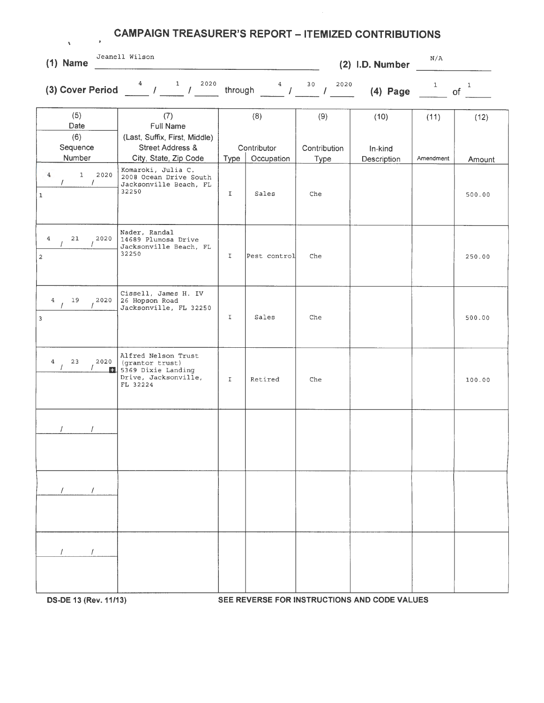| v<br>$(1)$ Name                                               | Jeanell Wilson                                                                                           |             |                     |                             | (2) I.D. Number | N/A          |                    |
|---------------------------------------------------------------|----------------------------------------------------------------------------------------------------------|-------------|---------------------|-----------------------------|-----------------|--------------|--------------------|
| (3) Cover Period                                              | 2020                                                                                                     | through     | 4<br>$\sim$ 1       | 30<br>2020<br>$\mathcal{L}$ | $(4)$ Page      | $\mathbf{1}$ | $\mathbf{1}$<br>of |
| (5)<br>Date<br>(6)<br>Sequence                                | (7)<br><b>Full Name</b><br>(Last, Suffix, First, Middle)<br><b>Street Address &amp;</b>                  |             | (8)<br>Contributor  | (9)<br>Contribution         | (10)<br>In-kind | (11)         | (12)               |
| Number<br>$\overline{4}$<br>1 2020<br>$\prime$<br>$\mathbf 1$ | City, State, Zip Code<br>Komaroki, Julia C.<br>2008 Ocean Drive South<br>Jacksonville Beach, FL<br>32250 | Type<br>I   | Occupation<br>Sales | <b>Type</b><br>Che          | Description     | Amendment    | Amount<br>500.00   |
| $\overline{4}$<br>21<br>2020<br>$\mathbf 2$                   | Nader, Randal<br>14689 Plumosa Drive<br>Jacksonville Beach, FL<br>32250                                  | I           | Pest control        | Che                         |                 |              | 250.00             |
| 4<br>19<br>2020<br>3                                          | Cissell, James H. IV<br>26 Hopson Road<br>Jacksonville, FL 32250                                         | $\mathbf I$ | Sales               | Che                         |                 |              | 500.00             |
| $\overline{4}$<br>23<br>2020<br>$\prime$<br>$\prime$          | Alfred Nelson Trust<br>(grantor trust)<br>5369 Dixie Landing<br>Drive, Jacksonville,<br>FL 32224         | $\mathbf I$ | Retired             | Che                         |                 |              | 100.00             |
|                                                               |                                                                                                          |             |                     |                             |                 |              |                    |
| $\frac{1}{2}$ $\frac{1}{2}$                                   |                                                                                                          |             |                     |                             |                 |              |                    |
| $\prime$<br>$\prime$                                          |                                                                                                          |             |                     |                             |                 |              |                    |

**CAMPAIGN TREASURER'S REPORT - ITEMIZED CONTRIBUTIONS** 

**DS-DE 13 (Rev.11/13) SEE REVERSE FOR INSTRUCTIONS AND CODE VALUES**